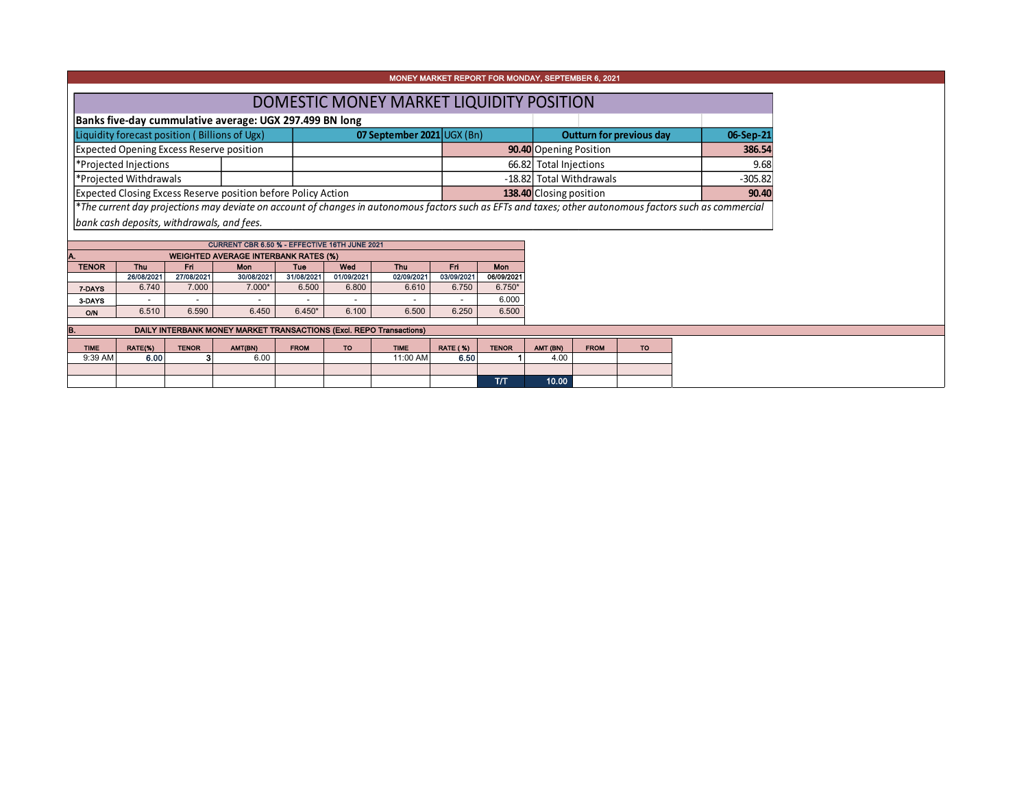| MONEY MARKET REPORT FOR MONDAY, SEPTEMBER 6, 2021                                                                                                        |                                                                                                                          |              |                                                                     |             |                            |             |                          |              |                                  |             |                          |           |  |  |  |
|----------------------------------------------------------------------------------------------------------------------------------------------------------|--------------------------------------------------------------------------------------------------------------------------|--------------|---------------------------------------------------------------------|-------------|----------------------------|-------------|--------------------------|--------------|----------------------------------|-------------|--------------------------|-----------|--|--|--|
|                                                                                                                                                          | DOMESTIC MONEY MARKET LIQUIDITY POSITION                                                                                 |              |                                                                     |             |                            |             |                          |              |                                  |             |                          |           |  |  |  |
|                                                                                                                                                          |                                                                                                                          |              | Banks five-day cummulative average: UGX 297.499 BN long             |             |                            |             |                          |              |                                  |             |                          |           |  |  |  |
| Liquidity forecast position (Billions of Ugx)                                                                                                            |                                                                                                                          |              |                                                                     |             | 07 September 2021 UGX (Bn) |             |                          |              |                                  |             | Outturn for previous day | 06-Sep-21 |  |  |  |
|                                                                                                                                                          | <b>Expected Opening Excess Reserve position</b>                                                                          |              |                                                                     |             |                            |             |                          |              | 90.40 Opening Position           |             | 386.54                   |           |  |  |  |
| *Projected Injections                                                                                                                                    |                                                                                                                          |              |                                                                     |             |                            |             |                          |              | 66.82 Total Injections<br>9.68   |             |                          |           |  |  |  |
| *Projected Withdrawals                                                                                                                                   |                                                                                                                          |              |                                                                     |             |                            |             | -18.82 Total Withdrawals |              |                                  |             |                          |           |  |  |  |
|                                                                                                                                                          | Expected Closing Excess Reserve position before Policy Action                                                            |              |                                                                     |             |                            |             |                          |              | 138.40 Closing position<br>90.40 |             |                          |           |  |  |  |
| *The current day projections may deviate on account of changes in autonomous factors such as EFTs and taxes; other autonomous factors such as commercial |                                                                                                                          |              |                                                                     |             |                            |             |                          |              |                                  |             |                          |           |  |  |  |
|                                                                                                                                                          | bank cash deposits, withdrawals, and fees.                                                                               |              |                                                                     |             |                            |             |                          |              |                                  |             |                          |           |  |  |  |
| CURRENT CBR 6.50 % - EFFECTIVE 16TH JUNE 2021                                                                                                            |                                                                                                                          |              |                                                                     |             |                            |             |                          |              |                                  |             |                          |           |  |  |  |
|                                                                                                                                                          |                                                                                                                          |              |                                                                     |             |                            |             |                          |              |                                  |             |                          |           |  |  |  |
| <b>TENOR</b>                                                                                                                                             | <b>WEIGHTED AVERAGE INTERBANK RATES (%)</b><br><b>Thu</b><br>Fri<br>Tue<br>Wed<br>Mon<br><b>Thu</b><br><b>Mon</b><br>Fri |              |                                                                     |             |                            |             |                          |              |                                  |             |                          |           |  |  |  |
|                                                                                                                                                          | 26/08/2021                                                                                                               | 27/08/2021   | 30/08/2021                                                          | 31/08/2021  | 01/09/2021                 | 02/09/2021  | 03/09/2021               | 06/09/2021   |                                  |             |                          |           |  |  |  |
| 7-DAYS                                                                                                                                                   | 6.740                                                                                                                    | 7.000        | 7.000*                                                              | 6.500       | 6.800                      | 6.610       | 6.750                    | $6.750*$     |                                  |             |                          |           |  |  |  |
| 3-DAYS                                                                                                                                                   |                                                                                                                          |              |                                                                     |             |                            |             |                          | 6.000        |                                  |             |                          |           |  |  |  |
| <b>O/N</b>                                                                                                                                               | 6.510                                                                                                                    | 6.590        | 6.450                                                               | $6.450*$    | 6.100                      | 6.500       | 6.250                    | 6.500        |                                  |             |                          |           |  |  |  |
| В.                                                                                                                                                       |                                                                                                                          |              | DAILY INTERBANK MONEY MARKET TRANSACTIONS (Excl. REPO Transactions) |             |                            |             |                          |              |                                  |             |                          |           |  |  |  |
| <b>TIME</b>                                                                                                                                              | RATE(%)                                                                                                                  | <b>TENOR</b> |                                                                     | <b>FROM</b> | <b>TO</b>                  | <b>TIME</b> |                          | <b>TENOR</b> |                                  | <b>FROM</b> | <b>TO</b>                |           |  |  |  |
| 9:39 AM                                                                                                                                                  | 6.00                                                                                                                     |              | AMT(BN)<br>6.00                                                     |             |                            | 11:00 AM    | <b>RATE (%)</b><br>6.50  |              | AMT (BN)<br>4.00                 |             |                          |           |  |  |  |
|                                                                                                                                                          |                                                                                                                          |              |                                                                     |             |                            |             |                          |              |                                  |             |                          |           |  |  |  |
|                                                                                                                                                          |                                                                                                                          |              |                                                                     |             |                            |             |                          | T/T          | 10.00                            |             |                          |           |  |  |  |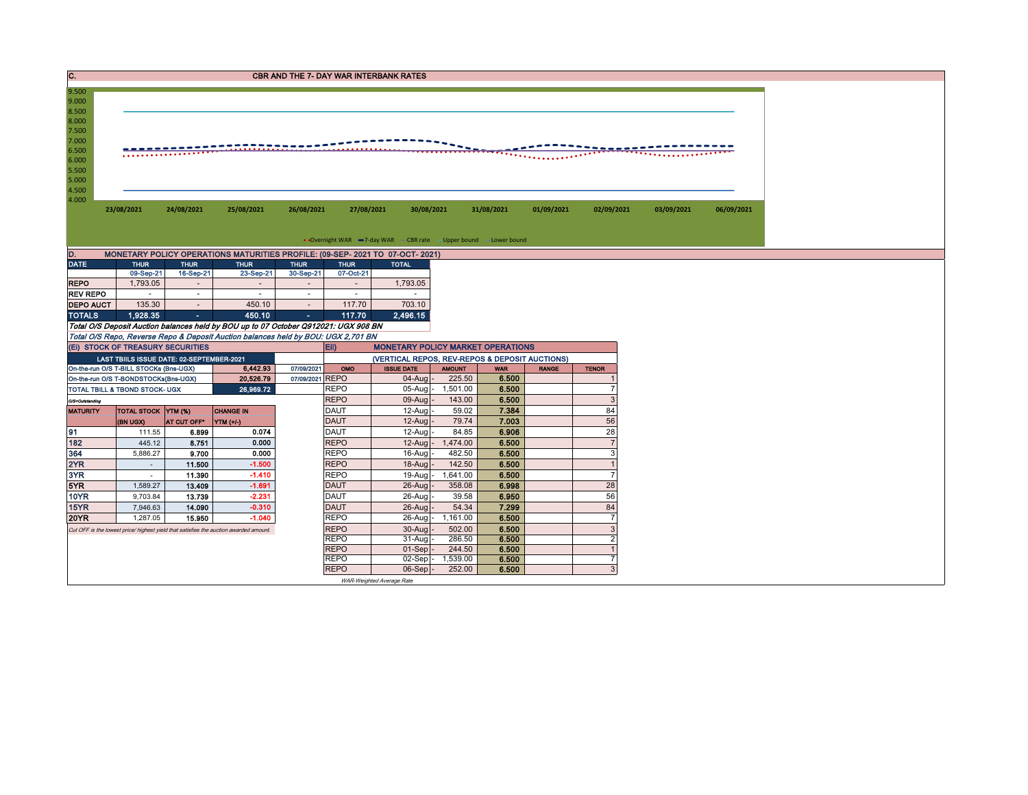| C.<br><b>CBR AND THE 7- DAY WAR INTERBANK RATES</b>                                    |                                                                                       |                          |                                                                                       |                          |                            |                                                                  |                    |                |              |                     |            |            |  |  |
|----------------------------------------------------------------------------------------|---------------------------------------------------------------------------------------|--------------------------|---------------------------------------------------------------------------------------|--------------------------|----------------------------|------------------------------------------------------------------|--------------------|----------------|--------------|---------------------|------------|------------|--|--|
|                                                                                        |                                                                                       |                          |                                                                                       |                          |                            |                                                                  |                    |                |              |                     |            |            |  |  |
| 9.000<br>8.500<br>8.000<br>7.500<br>7.000<br>6.500<br>6.000<br>5.500<br>5.000<br>4.500 | 9.500<br><b></b><br><del>.</del> .                                                    |                          |                                                                                       |                          |                            |                                                                  |                    |                |              |                     |            |            |  |  |
| 4.000                                                                                  | 23/08/2021                                                                            | 24/08/2021               | 25/08/2021                                                                            | 26/08/2021               | 27/08/2021                 | 30/08/2021                                                       |                    | 31/08/2021     | 01/09/2021   | 02/09/2021          | 03/09/2021 | 06/09/2021 |  |  |
|                                                                                        |                                                                                       |                          |                                                                                       |                          |                            |                                                                  |                    |                |              |                     |            |            |  |  |
|                                                                                        |                                                                                       |                          |                                                                                       |                          |                            | • Overnight WAR -7-day WAR - CBR rate - Upper bound -Lower bound |                    |                |              |                     |            |            |  |  |
| D.                                                                                     |                                                                                       |                          | MONETARY POLICY OPERATIONS MATURITIES PROFILE: (09-SEP- 2021 TO 07-OCT- 2021)         |                          |                            |                                                                  |                    |                |              |                     |            |            |  |  |
| <b>DATE</b>                                                                            | <b>THUR</b><br>09-Sep-21                                                              | <b>THUR</b><br>16-Sep-21 | <b>THUR</b><br>23-Sep-21                                                              | <b>THUR</b><br>30-Sep-21 | <b>THUR</b><br>07-Oct-21   | <b>TOTAL</b>                                                     |                    |                |              |                     |            |            |  |  |
| <b>REPO</b>                                                                            | 1,793.05                                                                              | $\sim$                   | $\sim$                                                                                | $\sim$                   | $\sim$                     | 1,793.05                                                         |                    |                |              |                     |            |            |  |  |
| <b>REV REPO</b>                                                                        | $\sim$                                                                                | $\sim$                   | $\sim$                                                                                | $\sim$                   | $\sim$                     | $\sim$                                                           |                    |                |              |                     |            |            |  |  |
| <b>DEPO AUCT</b>                                                                       | 135.30                                                                                | $\sim$                   | 450.10                                                                                | $\sim$                   | 117.70                     | 703.10                                                           |                    |                |              |                     |            |            |  |  |
| <b>TOTALS</b>                                                                          | 1.928.35                                                                              | $\sim$                   | 450.10                                                                                | $\sim$                   | 117.70                     | 2.496.15                                                         |                    |                |              |                     |            |            |  |  |
|                                                                                        |                                                                                       |                          | Total O/S Deposit Auction balances held by BOU up to 07 October Q912021: UGX 908 BN   |                          |                            |                                                                  |                    |                |              |                     |            |            |  |  |
|                                                                                        |                                                                                       |                          | Total O/S Repo, Reverse Repo & Deposit Auction balances held by BOU: UGX 2,701 BN     |                          |                            |                                                                  |                    |                |              |                     |            |            |  |  |
|                                                                                        | (EI) STOCK OF TREASURY SECURITIES<br>Eii)<br><b>MONETARY POLICY MARKET OPERATIONS</b> |                          |                                                                                       |                          |                            |                                                                  |                    |                |              |                     |            |            |  |  |
|                                                                                        |                                                                                       |                          |                                                                                       |                          |                            |                                                                  |                    |                |              |                     |            |            |  |  |
|                                                                                        | LAST TBIILS ISSUE DATE: 02-SEPTEMBER-2021                                             |                          |                                                                                       |                          |                            | (VERTICAL REPOS, REV-REPOS & DEPOSIT AUCTIONS)                   |                    |                |              |                     |            |            |  |  |
|                                                                                        | On-the-run O/S T-BILL STOCKs (Bns-UGX)                                                |                          | 6,442.93                                                                              | 07/09/2021               | OMO                        | <b>ISSUE DATE</b>                                                | <b>AMOUNT</b>      | <b>WAR</b>     | <b>RANGE</b> | <b>TENOR</b>        |            |            |  |  |
|                                                                                        | On-the-run O/S T-BONDSTOCKs(Bns-UGX)                                                  |                          | 20,526.79                                                                             | 07/09/2021 REPO          |                            | $04$ -Aug -                                                      | 225.50             | 6.500          |              |                     |            |            |  |  |
|                                                                                        | TOTAL TBILL & TBOND STOCK- UGX                                                        |                          | 26.969.72                                                                             |                          | <b>REPO</b>                | $05$ -Aug $-$                                                    | 1.501.00           | 6.500          |              | $\overline{7}$      |            |            |  |  |
| O/S=Outstanding                                                                        |                                                                                       |                          |                                                                                       |                          | <b>REPO</b>                | 09-Aug                                                           | 143.00<br>59.02    | 6.500          |              | $\mathbf{3}$        |            |            |  |  |
| <b>MATURITY</b>                                                                        | <b>TOTAL STOCK YTM (%)</b><br>(BN UGX)                                                | AT CUT OFF <sup>®</sup>  | <b>CHANGE IN</b>                                                                      |                          | <b>DAUT</b><br><b>DAUT</b> | $12-Auq$<br>$12-Auq$                                             | 79.74              | 7.384<br>7.003 |              | 84<br>56            |            |            |  |  |
| 91                                                                                     | 111.55                                                                                | 6.899                    | $\vert$ YTM (+/-)<br>0.074                                                            |                          | <b>DAUT</b>                | $12 - A u$ a                                                     | 84.85              | 6.906          |              | 28                  |            |            |  |  |
| 182                                                                                    | 445.12                                                                                | 8.751                    | 0.000                                                                                 |                          | <b>REPO</b>                | $12$ -Aug $-$                                                    | 1,474.00           | 6.500          |              | $\overline{7}$      |            |            |  |  |
| 364                                                                                    | 5,886.27                                                                              | 9.700                    | 0.000                                                                                 |                          | <b>REPO</b>                | $16$ -Aug                                                        | 482.50             | 6.500          |              | 3                   |            |            |  |  |
| 2YR                                                                                    | $\sim$                                                                                | 11.500                   | $-1.500$                                                                              |                          | <b>REPO</b>                | $18$ -Aug -                                                      | 142.50             | 6.500          |              | $\overline{1}$      |            |            |  |  |
| 3YR                                                                                    | $\sim$                                                                                | 11.390                   | $-1.410$                                                                              |                          | <b>REPO</b>                | 19-Aug -                                                         | 1,641.00           | 6.500          |              | $\overline{7}$      |            |            |  |  |
| 5YR                                                                                    | 1,589.27                                                                              | 13.409                   | $-1.691$                                                                              |                          | <b>DAUT</b>                | $26$ -Aug -                                                      | 358.08             | 6.998          |              | 28                  |            |            |  |  |
| <b>10YR</b>                                                                            | 9,703.84                                                                              | 13.739                   | $-2.231$                                                                              |                          | <b>DAUT</b>                | $26$ -Aug                                                        | 39.58              | 6.950          |              | 56                  |            |            |  |  |
| 15YR                                                                                   | 7,946.63                                                                              | 14.090                   | $-0.310$                                                                              |                          | <b>DAUT</b>                | 26-Aug                                                           | 54.34              | 7.299          |              | 84                  |            |            |  |  |
| <b>20YR</b>                                                                            | 1,287.05                                                                              | 15.950                   | $-1.040$                                                                              |                          | <b>REPO</b>                | 26-Aug -                                                         | 1,161.00           | 6.500          |              | $\overline{7}$      |            |            |  |  |
|                                                                                        |                                                                                       |                          | Cut OFF is the lowest price/ highest yield that satisfies the auction awarded amount. |                          | <b>REPO</b>                | 30-Aug                                                           | 502.00             | 6.500          |              | $\overline{3}$      |            |            |  |  |
|                                                                                        |                                                                                       |                          |                                                                                       |                          | <b>REPO</b>                | $31-Aug$                                                         | 286.50             | 6.500          |              | $\overline{2}$      |            |            |  |  |
|                                                                                        |                                                                                       |                          |                                                                                       |                          | <b>REPO</b>                | $01-Sep$                                                         | 244.50             | 6.500          |              | $\overline{1}$      |            |            |  |  |
|                                                                                        |                                                                                       |                          |                                                                                       |                          | <b>REPO</b><br><b>REPO</b> | $02-Sep$ -<br>$06-Sep$                                           | 1,539.00<br>252.00 | 6.500<br>6.500 |              | $\overline{7}$<br>3 |            |            |  |  |